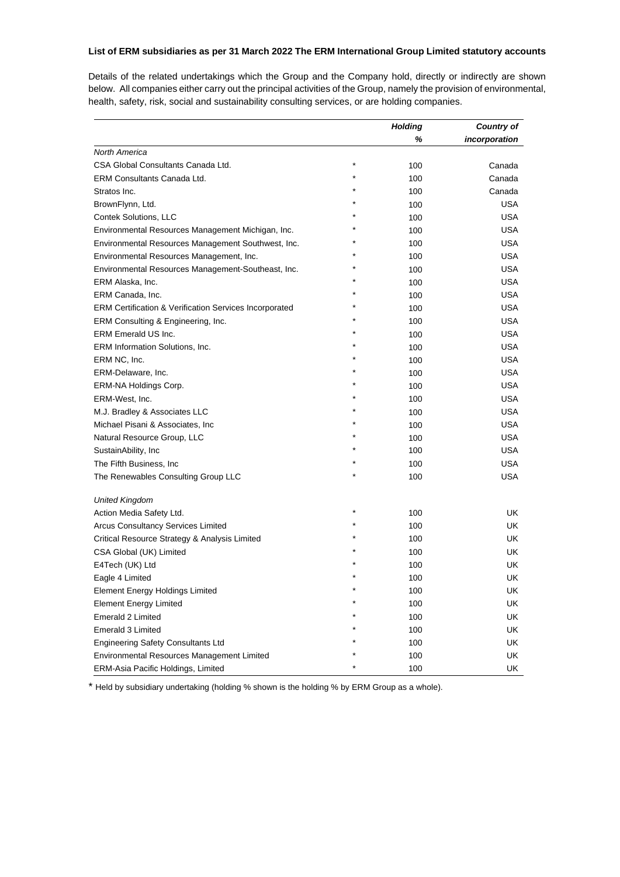## **List of ERM subsidiaries as per 31 March 2022 The ERM International Group Limited statutory accounts**

Details of the related undertakings which the Group and the Company hold, directly or indirectly are shown below. All companies either carry out the principal activities of the Group, namely the provision of environmental, health, safety, risk, social and sustainability consulting services, or are holding companies.

|                                                                   |         | <b>Holding</b> | <b>Country of</b><br>incorporation |
|-------------------------------------------------------------------|---------|----------------|------------------------------------|
|                                                                   |         | ℅              |                                    |
| <b>North America</b>                                              |         |                |                                    |
| CSA Global Consultants Canada Ltd.                                | $\star$ | 100            | Canada                             |
| <b>ERM Consultants Canada Ltd.</b>                                |         | 100            | Canada                             |
| Stratos Inc.                                                      |         | 100            | Canada                             |
| BrownFlynn, Ltd.                                                  |         | 100            | <b>USA</b>                         |
| Contek Solutions, LLC                                             |         | 100            | <b>USA</b>                         |
| Environmental Resources Management Michigan, Inc.                 |         | 100            | <b>USA</b>                         |
| Environmental Resources Management Southwest, Inc.                |         | 100            | <b>USA</b>                         |
| Environmental Resources Management, Inc.                          |         | 100            | <b>USA</b>                         |
| Environmental Resources Management-Southeast, Inc.                |         | 100            | <b>USA</b>                         |
| ERM Alaska, Inc.                                                  |         | 100            | <b>USA</b>                         |
| ERM Canada, Inc.                                                  |         | 100            | <b>USA</b>                         |
| <b>ERM Certification &amp; Verification Services Incorporated</b> |         | 100            | <b>USA</b>                         |
| ERM Consulting & Engineering, Inc.                                |         | 100            | <b>USA</b>                         |
| <b>ERM Emerald US Inc.</b>                                        |         | 100            | <b>USA</b>                         |
| <b>ERM Information Solutions, Inc.</b>                            |         | 100            | <b>USA</b>                         |
| ERM NC, Inc.                                                      |         | 100            | <b>USA</b>                         |
| ERM-Delaware, Inc.                                                |         | 100            | <b>USA</b>                         |
| ERM-NA Holdings Corp.                                             |         | 100            | <b>USA</b>                         |
| ERM-West, Inc.                                                    |         | 100            | <b>USA</b>                         |
| M.J. Bradley & Associates LLC                                     |         | 100            | <b>USA</b>                         |
| Michael Pisani & Associates, Inc.                                 |         | 100            | <b>USA</b>                         |
| Natural Resource Group, LLC                                       |         | 100            | <b>USA</b>                         |
| SustainAbility, Inc                                               |         | 100            | USA                                |
| The Fifth Business, Inc.                                          |         | 100            | USA                                |
| The Renewables Consulting Group LLC                               |         | 100            | <b>USA</b>                         |
| <b>United Kingdom</b>                                             |         |                |                                    |
| Action Media Safety Ltd.                                          | $\star$ | 100            | UK                                 |
| Arcus Consultancy Services Limited                                |         | 100            | UK                                 |
| Critical Resource Strategy & Analysis Limited                     |         | 100            | UK                                 |
| CSA Global (UK) Limited                                           |         | 100            | UK                                 |
| E4Tech (UK) Ltd                                                   |         | 100            | UK                                 |
| Eagle 4 Limited                                                   |         | 100            | UK                                 |
| <b>Element Energy Holdings Limited</b>                            |         | 100            | UK                                 |
| <b>Element Energy Limited</b>                                     |         | 100            | UK                                 |
| Emerald 2 Limited                                                 |         | 100            | UK                                 |
| Emerald 3 Limited                                                 |         | 100            | UK                                 |
| <b>Engineering Safety Consultants Ltd</b>                         |         | 100            | UK                                 |
| Environmental Resources Management Limited                        |         | 100            | UK                                 |
| ERM-Asia Pacific Holdings, Limited                                |         | 100            | UK                                 |

\* Held by subsidiary undertaking (holding % shown is the holding % by ERM Group as a whole).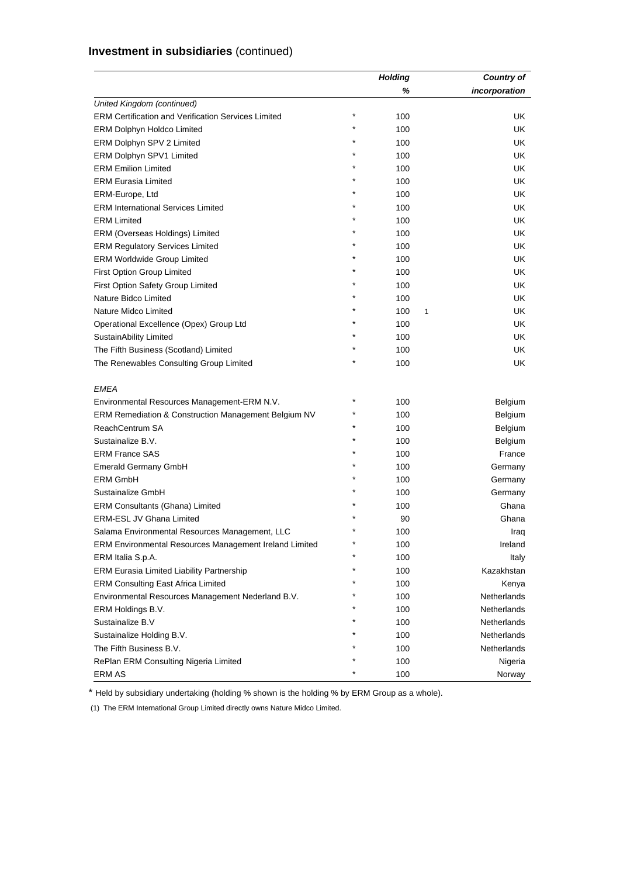## **Investment in subsidiaries** (continued)

|                                                               |         | <b>Holding</b> | <b>Country of</b> |  |
|---------------------------------------------------------------|---------|----------------|-------------------|--|
|                                                               |         | %              | incorporation     |  |
| United Kingdom (continued)                                    |         |                |                   |  |
| <b>ERM Certification and Verification Services Limited</b>    | $\star$ | 100            | UK                |  |
| <b>ERM Dolphyn Holdco Limited</b>                             | $\star$ | 100            | UK                |  |
| ERM Dolphyn SPV 2 Limited                                     |         | 100            | UK                |  |
| ERM Dolphyn SPV1 Limited                                      |         | 100            | UK                |  |
| <b>ERM Emilion Limited</b>                                    |         | 100            | UK                |  |
| <b>ERM Eurasia Limited</b>                                    |         | 100            | UK                |  |
| ERM-Europe, Ltd                                               |         | 100            | UK                |  |
| <b>ERM International Services Limited</b>                     |         | 100            | UK                |  |
| <b>ERM Limited</b>                                            |         | 100            | UK                |  |
| ERM (Overseas Holdings) Limited                               |         | 100            | UK                |  |
| <b>ERM Regulatory Services Limited</b>                        |         | 100            | UK                |  |
| <b>ERM Worldwide Group Limited</b>                            |         | 100            | UK                |  |
| First Option Group Limited                                    |         | 100            | UK                |  |
| First Option Safety Group Limited                             |         | 100            | UK                |  |
| Nature Bidco Limited                                          |         | 100            | UK                |  |
| Nature Midco Limited                                          |         | 100<br>1       | UK                |  |
| Operational Excellence (Opex) Group Ltd                       |         | 100            | UK                |  |
| SustainAbility Limited                                        |         | 100            | UK                |  |
| The Fifth Business (Scotland) Limited                         |         | 100            | UK                |  |
| The Renewables Consulting Group Limited                       |         | 100            | UK                |  |
|                                                               |         |                |                   |  |
| <b>EMEA</b>                                                   |         |                |                   |  |
| Environmental Resources Management-ERM N.V.                   |         | 100            | Belgium           |  |
| ERM Remediation & Construction Management Belgium NV          |         | 100            | Belgium           |  |
| ReachCentrum SA                                               |         | 100            | Belgium           |  |
| Sustainalize B.V.                                             |         | 100            | Belgium           |  |
| <b>ERM France SAS</b>                                         |         | 100            | France            |  |
| <b>Emerald Germany GmbH</b>                                   |         | 100            | Germany           |  |
| <b>ERM GmbH</b>                                               |         | 100            | Germany           |  |
| Sustainalize GmbH                                             |         | 100            | Germany           |  |
| <b>ERM Consultants (Ghana) Limited</b>                        |         | 100            | Ghana             |  |
| <b>ERM-ESL JV Ghana Limited</b>                               |         | 90             | Ghana             |  |
| Salama Environmental Resources Management, LLC                |         | 100            | Iraq              |  |
| <b>ERM Environmental Resources Management Ireland Limited</b> |         | 100            | Ireland           |  |
| ERM Italia S.p.A.                                             |         | 100            | Italy             |  |
| ERM Eurasia Limited Liability Partnership                     |         | 100            | Kazakhstan        |  |
| <b>ERM Consulting East Africa Limited</b>                     |         | 100            | Kenya             |  |
| Environmental Resources Management Nederland B.V.             |         | 100            | Netherlands       |  |
| ERM Holdings B.V.                                             |         | 100            | Netherlands       |  |
| Sustainalize B.V                                              |         | 100            | Netherlands       |  |
| Sustainalize Holding B.V.                                     |         | 100            | Netherlands       |  |
| The Fifth Business B.V.                                       |         | 100            | Netherlands       |  |
| RePlan ERM Consulting Nigeria Limited                         |         | 100            | Nigeria           |  |
| ERM AS                                                        |         | 100            | Norway            |  |

\* Held by subsidiary undertaking (holding % shown is the holding % by ERM Group as a whole).

(1) The ERM International Group Limited directly owns Nature Midco Limited.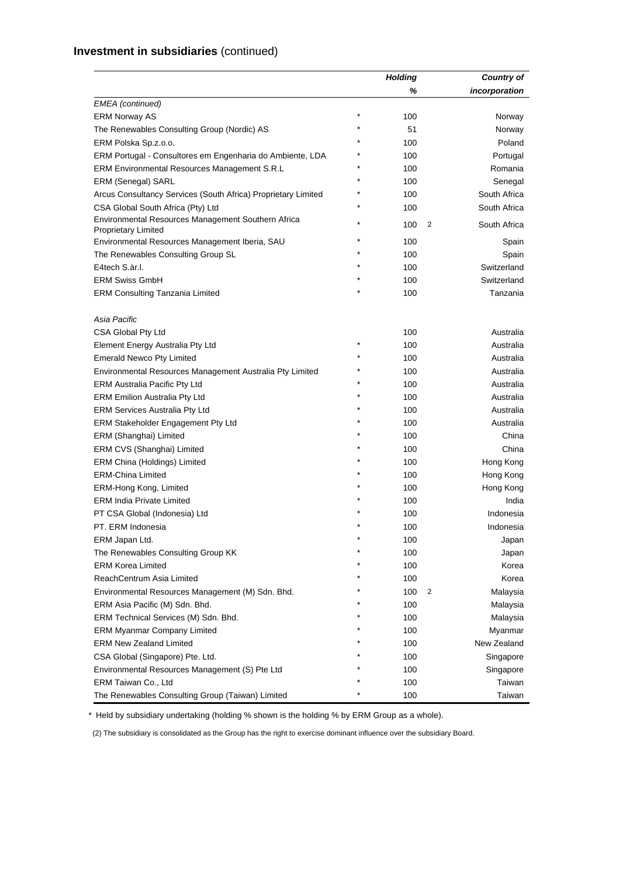## **Investment in subsidiaries** (continued)

|                                                               |         | <b>Holding</b> |   | <b>Country of</b> |
|---------------------------------------------------------------|---------|----------------|---|-------------------|
|                                                               |         | ℅              |   | incorporation     |
| EMEA (continued)                                              |         |                |   |                   |
| <b>ERM Norway AS</b>                                          |         | 100            |   | Norway            |
| The Renewables Consulting Group (Nordic) AS                   |         | 51             |   | Norway            |
| ERM Polska Sp.z.o.o.                                          |         | 100            |   | Poland            |
| ERM Portugal - Consultores em Engenharia do Ambiente, LDA     |         | 100            |   | Portugal          |
| ERM Environmental Resources Management S.R.L                  |         | 100            |   | Romania           |
| ERM (Senegal) SARL                                            |         | 100            |   | Senegal           |
| Arcus Consultancy Services (South Africa) Proprietary Limited |         | 100            |   | South Africa      |
| CSA Global South Africa (Pty) Ltd                             |         | 100            |   | South Africa      |
| Environmental Resources Management Southern Africa            |         | 100            | 2 | South Africa      |
| <b>Proprietary Limited</b>                                    |         |                |   |                   |
| Environmental Resources Management Iberia, SAU                |         | 100            |   | Spain             |
| The Renewables Consulting Group SL                            |         | 100            |   | Spain             |
| E4tech S.àr.I.                                                |         | 100            |   | Switzerland       |
| <b>ERM Swiss GmbH</b>                                         |         | 100            |   | Switzerland       |
| <b>ERM Consulting Tanzania Limited</b>                        |         | 100            |   | Tanzania          |
| Asia Pacific                                                  |         |                |   |                   |
| CSA Global Pty Ltd                                            |         | 100            |   | Australia         |
| Element Energy Australia Pty Ltd                              | $\star$ | 100            |   | Australia         |
| <b>Emerald Newco Pty Limited</b>                              |         | 100            |   | Australia         |
| Environmental Resources Management Australia Pty Limited      |         | 100            |   | Australia         |
| ERM Australia Pacific Pty Ltd                                 |         | 100            |   | Australia         |
| ERM Emilion Australia Pty Ltd                                 |         | 100            |   | Australia         |
| <b>ERM Services Australia Pty Ltd</b>                         |         | 100            |   | Australia         |
| ERM Stakeholder Engagement Pty Ltd                            |         | 100            |   | Australia         |
| ERM (Shanghai) Limited                                        |         | 100            |   | China             |
| ERM CVS (Shanghai) Limited                                    |         | 100            |   | China             |
| ERM China (Holdings) Limited                                  |         | 100            |   | Hong Kong         |
| <b>ERM-China Limited</b>                                      |         | 100            |   | Hong Kong         |
| ERM-Hong Kong, Limited                                        |         | 100            |   | Hong Kong         |
| <b>ERM India Private Limited</b>                              |         | 100            |   | India             |
| PT CSA Global (Indonesia) Ltd                                 |         | 100            |   | Indonesia         |
| PT. ERM Indonesia                                             |         | 100            |   | Indonesia         |
| ERM Japan Ltd.                                                |         | 100            |   | Japan             |
| The Renewables Consulting Group KK                            |         | 100            |   | Japan             |
| <b>ERM Korea Limited</b>                                      |         | 100            |   | Korea             |
| ReachCentrum Asia Limited                                     |         | 100            |   | Korea             |
| Environmental Resources Management (M) Sdn. Bhd.              |         | 100            | 2 | Malaysia          |
| ERM Asia Pacific (M) Sdn. Bhd.                                |         | 100            |   | Malaysia          |
| ERM Technical Services (M) Sdn. Bhd.                          |         | 100            |   | Malaysia          |
| <b>ERM Myanmar Company Limited</b>                            |         | 100            |   | Myanmar           |
| <b>ERM New Zealand Limited</b>                                |         | 100            |   | New Zealand       |
| CSA Global (Singapore) Pte. Ltd.                              |         | 100            |   | Singapore         |
| Environmental Resources Management (S) Pte Ltd                |         | 100            |   | Singapore         |
| ERM Taiwan Co., Ltd                                           |         | 100            |   | Taiwan            |
| The Renewables Consulting Group (Taiwan) Limited              |         | 100            |   | Taiwan            |

\* Held by subsidiary undertaking (holding % shown is the holding % by ERM Group as a whole).

(2) The subsidiary is consolidated as the Group has the right to exercise dominant influence over the subsidiary Board.